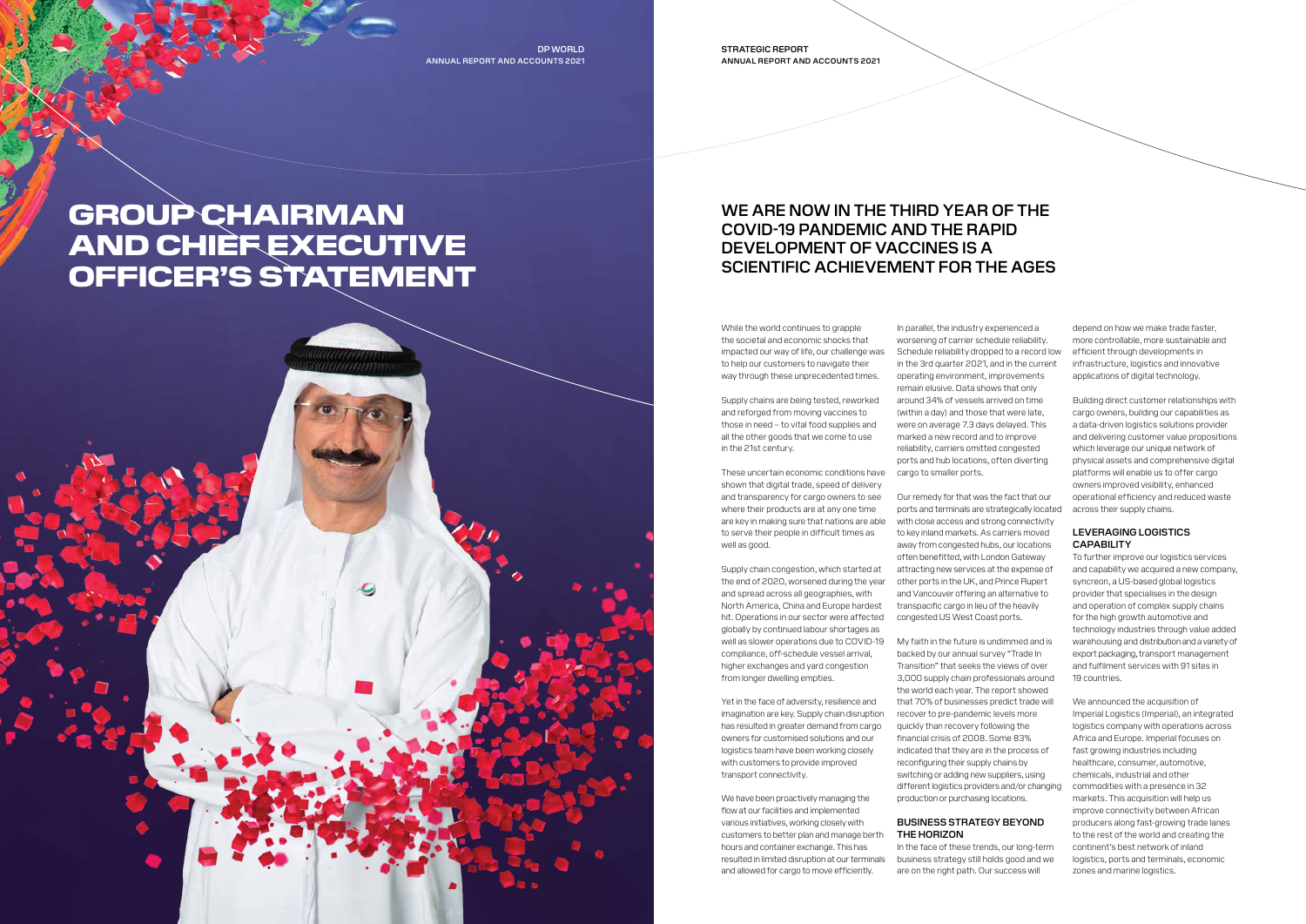STRATEGIC REPORT ANNUAL REPORT AND ACCOUNTS 2021

DP WORLD ANNUAL REPORT AND ACCOUNTS 2021

# GROUP CHAIRMAN AND CHIEF EXECUTIVE OFFICER'S STATEMENT



Supply chains are being tested, reworked and reforged from moving vaccines to those in need – to vital food supplies and all the other goods that we come to use in the 21st century.

These uncertain economic conditions have shown that digital trade, speed of delivery and transparency for cargo owners to see where their products are at any one time are key in making sure that nations are able to serve their people in difficult times as well as good.

We have been proactively managing the flow at our facilities and implemented various initiatives, working closely with customers to better plan and manage berth hours and container exchange. This has resulted in limited disruption at our terminals and allowed for cargo to move efficiently.

Supply chain congestion, which started at the end of 2020, worsened during the year other ports in the UK, and Prince Rupert and spread across all geographies, with North America, China and Europe hardest hit. Operations in our sector were affected globally by continued labour shortages as well as slower operations due to COVID-19 compliance, off-schedule vessel arrival, higher exchanges and yard congestion from longer dwelling empties.

Yet in the face of adversity, resilience and imagination are key. Supply chain disruption has resulted in greater demand from cargo owners for customised solutions and our logistics team have been working closely with customers to provide improved transport connectivity.

In parallel, the industry experienced a worsening of carrier schedule reliability. Schedule reliability dropped to a record low in the 3rd quarter 2021, and in the current operating environment, improvements remain elusive. Data shows that only around 34% of vessels arrived on time (within a day) and those that were late, were on average 7.3 days delayed. This marked a new record and to improve reliability, carriers omitted congested ports and hub locations, often diverting cargo to smaller ports.

### LEVERAGING LOGISTICS **CAPABILITY**

Our remedy for that was the fact that our ports and terminals are strategically located with close access and strong connectivity to key inland markets. As carriers moved away from congested hubs, our locations often benefitted, with London Gateway attracting new services at the expense of and Vancouver offering an alternative to transpacific cargo in lieu of the heavily congested US West Coast ports.

> We announced the acquisition of Imperial Logistics (Imperial), an integrated logistics company with operations across Africa and Europe. Imperial focuses on fast growing industries including healthcare, consumer, automotive, chemicals, industrial and other commodities with a presence in 32 markets. This acquisition will help us improve connectivity between African producers along fast-growing trade lanes to the rest of the world and creating the continent's best network of inland logistics, ports and terminals, economic zones and marine logistics.

My faith in the future is undimmed and is backed by our annual survey "Trade In Transition" that seeks the views of over 3,000 supply chain professionals around the world each year. The report showed that 70% of businesses predict trade will recover to pre-pandemic levels more quickly than recovery following the financial crisis of 2008. Some 83% indicated that they are in the process of reconfiguring their supply chains by switching or adding new suppliers, using different logistics providers and/or changing production or purchasing locations.

#### BUSINESS STRATEGY BEYOND THE HORIZON

In the face of these trends, our long-term business strategy still holds good and we are on the right path. Our success will



depend on how we make trade faster, more controllable, more sustainable and efficient through developments in infrastructure, logistics and innovative applications of digital technology.

Building direct customer relationships with cargo owners, building our capabilities as a data-driven logistics solutions provider and delivering customer value propositions which leverage our unique network of physical assets and comprehensive digital platforms will enable us to offer cargo owners improved visibility, enhanced operational efficiency and reduced waste across their supply chains.

To further improve our logistics services and capability we acquired a new company, syncreon, a US-based global logistics provider that specialises in the design and operation of complex supply chains for the high growth automotive and technology industries through value added warehousing and distribution and a variety of export packaging, transport management and fulfilment services with 91 sites in 19 countries.